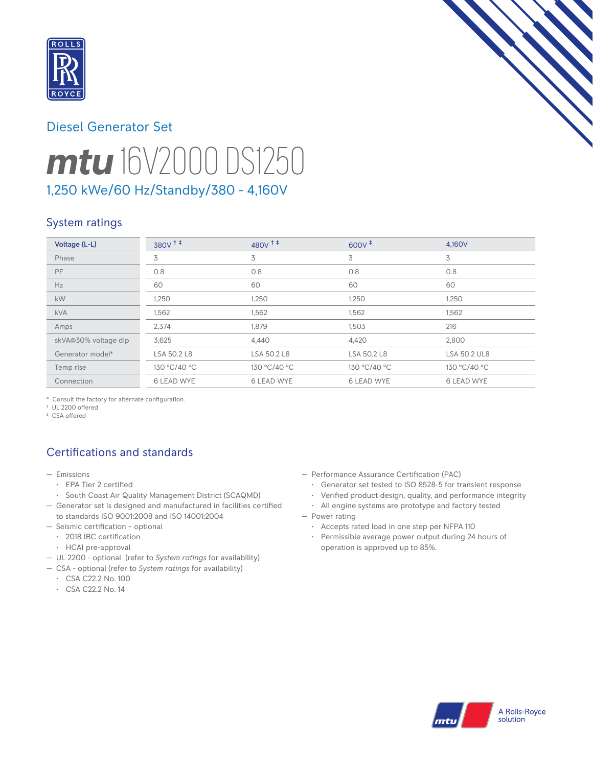

# Diesel Generator Set



# *mtu* 16V2000 DS1250 1,250 kWe/60 Hz/Standby/380 - 4,160V

# System ratings

| Voltage (L-L)        | 380v <sup>++</sup> | $480V$ <sup>++</sup> | $600V^+$          | 4.160V              |
|----------------------|--------------------|----------------------|-------------------|---------------------|
| Phase                | 3                  | 3                    | 3                 | 3                   |
| PF                   | 0.8                | 0.8                  | 0.8               | 0.8                 |
| Hz                   | 60                 | 60                   | 60                | 60                  |
| kW                   | 1,250              | 1,250                | 1,250             | 1,250               |
| <b>kVA</b>           | 1,562              | 1,562                | 1,562             | 1,562               |
| Amps                 | 2,374              | 1,879                | 1,503             | 216                 |
| skVA@30% voltage dip | 3,625              | 4,440                | 4,420             | 2,800               |
| Generator model*     | LSA 50.2 L8        | LSA 50.2 L8          | LSA 50.2 L8       | <b>LSA 50.2 UL8</b> |
| Temp rise            | 130 °C/40 °C       | 130 °C/40 °C         | 130 °C/40 °C      | 130 °C/40 °C        |
| Connection           | <b>6 LEAD WYE</b>  | <b>6 LEAD WYE</b>    | <b>6 LEAD WYE</b> | <b>6 LEAD WYE</b>   |

\* Consult the factory for alternate configuration.

† UL 2200 offered

‡ CSA offered

# Certifications and standards

- Emissions
	- EPA Tier 2 certified
	- South Coast Air Quality Management District (SCAQMD)
- Generator set is designed and manufactured in facilities certified to standards ISO 9001:2008 and ISO 14001:2004
- Seismic certification optional
- 2018 IBC certification
- HCAI pre-approval
- UL 2200 optional (refer to *System ratings* for availability)
- CSA optional (refer to *System ratings* for availability)
	- CSA C22.2 No. 100
	- CSA C22.2 No. 14
- Performance Assurance Certification (PAC)
	- Generator set tested to ISO 8528-5 for transient response
	- Verified product design, quality, and performance integrity
- All engine systems are prototype and factory tested
- Power rating
	- Accepts rated load in one step per NFPA 110
	- Permissible average power output during 24 hours of operation is approved up to 85%.

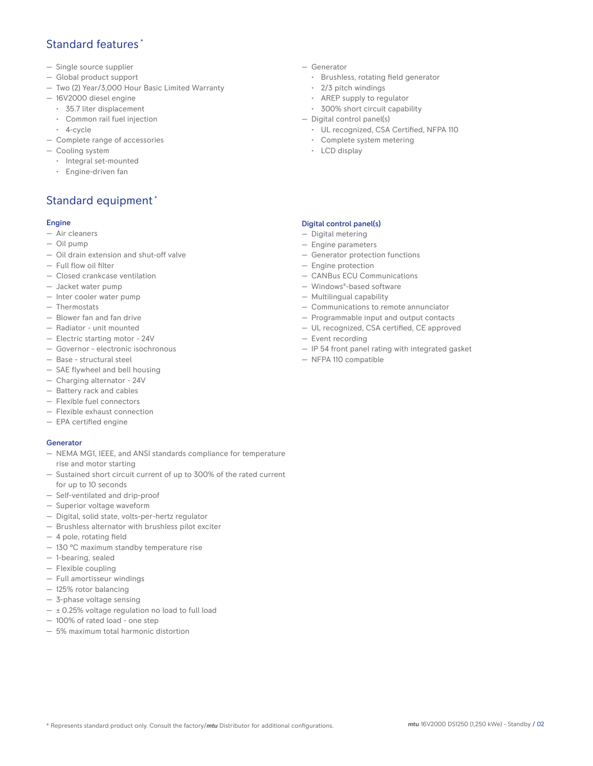## Standard features \*

- Single source supplier
- Global product support
- Two (2) Year/3,000 Hour Basic Limited Warranty
- 16V2000 diesel engine
	- 35.7 liter displacement
	- Common rail fuel injection
- 4-cycle
- Complete range of accessories
- Cooling system
	- Integral set-mounted
	- Engine-driven fan

# Standard equipment \*

#### Engine

- Air cleaners
- Oil pump
- Oil drain extension and shut-off valve
- Full flow oil filter
- Closed crankcase ventilation
- Jacket water pump
- Inter cooler water pump
- Thermostats
- Blower fan and fan drive
- Radiator unit mounted
- Electric starting motor 24V
- Governor electronic isochronous
- Base structural steel
- SAE flywheel and bell housing
- Charging alternator 24V
- Battery rack and cables
- Flexible fuel connectors
- Flexible exhaust connection
- EPA certified engine

#### **Generator**

- NEMA MG1, IEEE, and ANSI standards compliance for temperature rise and motor starting
- Sustained short circuit current of up to 300% of the rated current for up to 10 seconds
- Self-ventilated and drip-proof
- Superior voltage waveform
- Digital, solid state, volts-per-hertz regulator
- Brushless alternator with brushless pilot exciter
- 4 pole, rotating field
- 130 °C maximum standby temperature rise
- 1-bearing, sealed
- Flexible coupling
- Full amortisseur windings
- 125% rotor balancing
- 3-phase voltage sensing
- $\pm$  0.25% voltage regulation no load to full load
- 100% of rated load one step
- 5% maximum total harmonic distortion
- Generator
	- Brushless, rotating field generator
	- 2/3 pitch windings
	- AREP supply to regulator
	- 300% short circuit capability
- Digital control panel(s)
	- UL recognized, CSA Certified, NFPA 110
	- Complete system metering
	- LCD display

#### Digital control panel(s)

- Digital metering
- Engine parameters
- Generator protection functions
- Engine protection
- CANBus ECU Communications
- Windows®-based software
- Multilingual capability
- Communications to remote annunciator
- Programmable input and output contacts
- UL recognized, CSA certified, CE approved
- Event recording
- IP 54 front panel rating with integrated gasket
- NFPA 110 compatible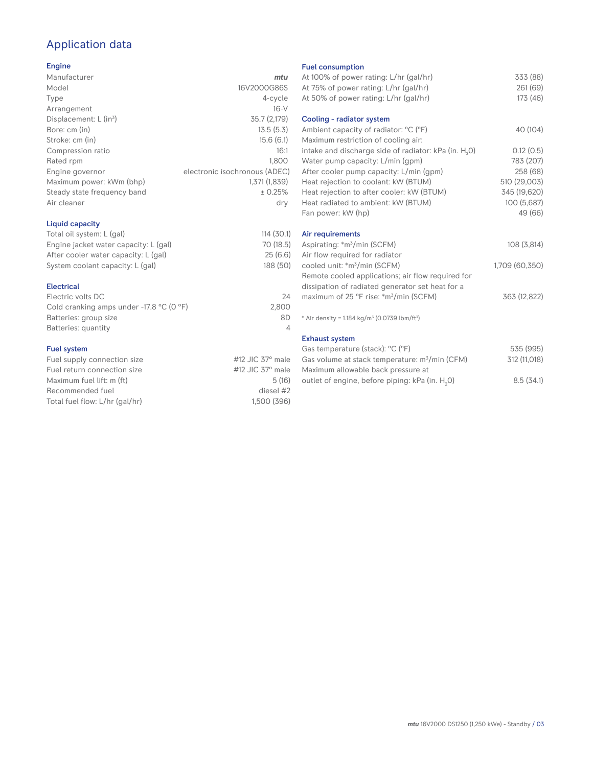# Application data

#### Engine

| Manufacturer                         | mtu                           |
|--------------------------------------|-------------------------------|
|                                      |                               |
| Model                                | 16V2000G86S                   |
| Type                                 | 4-cycle                       |
| Arrangement                          | $16-V$                        |
| Displacement: $L$ (in <sup>3</sup> ) | 35.7 (2,179)                  |
| Bore: cm (in)                        | 13.5(5.3)                     |
| Stroke: cm (in)                      | 15.6(6.1)                     |
| Compression ratio                    | 16:1                          |
| Rated rpm                            | 1,800                         |
| Engine governor                      | electronic isochronous (ADEC) |
| Maximum power: kWm (bhp)             | 1,371 (1,839)                 |
| Steady state frequency band          | ± 0.25%                       |
| Air cleaner                          | dry                           |
|                                      |                               |

#### Liquid capacity

| Total oil system: L (gal)             | 114(30.1) |
|---------------------------------------|-----------|
| Engine jacket water capacity: L (gal) | 70 (18.5) |
| After cooler water capacity: L (gal)  | 25(6.6)   |
| System coolant capacity: L (gal)      | 188 (50)  |
|                                       |           |

#### Electrical

| Electric volts DC                                            | 24    |
|--------------------------------------------------------------|-------|
| Cold cranking amps under -17.8 $^{\circ}$ C (O $^{\circ}$ F) | 2.800 |
| Batteries: group size                                        | 8D    |
| Batteries: quantity                                          |       |

#### Fuel system

| Fuel supply connection size    | #12 JIC $37^\circ$ male |
|--------------------------------|-------------------------|
| Fuel return connection size    | #12 JIC $37^\circ$ male |
| Maximum fuel lift: m (ft)      | 5(16)                   |
| Recommended fuel               | diesel #2               |
| Total fuel flow: L/hr (gal/hr) | 1.500 (396)             |
|                                |                         |

#### Fuel consumption

| At 100% of power rating: L/hr (gal/hr)<br>At 75% of power rating: L/hr (gal/hr)<br>At 50% of power rating: L/hr (gal/hr) | 333 (88)<br>261 (69)<br>173 (46) |
|--------------------------------------------------------------------------------------------------------------------------|----------------------------------|
| Cooling - radiator system                                                                                                |                                  |
| Ambient capacity of radiator: °C (°F)<br>Maximum restriction of cooling air:                                             | 40 (104)                         |
| intake and discharge side of radiator: kPa (in. H <sub>2</sub> O)                                                        | 0.12(0.5)                        |
| Water pump capacity: L/min (gpm)                                                                                         | 783 (207)                        |
| After cooler pump capacity: L/min (gpm)<br>Heat rejection to coolant: kW (BTUM)                                          | 258 (68)<br>510 (29,003)         |
| Heat rejection to after cooler: kW (BTUM)                                                                                | 345 (19,620)                     |
| Heat radiated to ambient: kW (BTUM)                                                                                      | 100 (5,687)                      |
| Fan power: kW (hp)                                                                                                       | 49 (66)                          |
| Air requirements                                                                                                         |                                  |
| Aspirating: *m <sup>3</sup> /min (SCFM)                                                                                  | 108 (3,814)                      |
| Air flow required for radiator                                                                                           |                                  |
| cooled unit: *m <sup>3</sup> /min (SCFM)                                                                                 | 1,709 (60,350)                   |
| Remote cooled applications; air flow required for<br>dissipation of radiated generator set heat for a                    |                                  |
| maximum of 25 °F rise: *m <sup>3</sup> /min (SCFM)                                                                       | 363 (12,822)                     |
|                                                                                                                          |                                  |
| * Air density = 1.184 kg/m <sup>3</sup> (0.0739 lbm/ft <sup>3</sup> )                                                    |                                  |
| <b>Exhaust system</b>                                                                                                    |                                  |
| Gas temperature (stack): °C (°F)                                                                                         | 535 (995)                        |
| Gas volume at stack temperature: m <sup>3</sup> /min (CFM)                                                               | 312 (11,018)                     |
| Maximum allowable back pressure at                                                                                       |                                  |

outlet of engine, before piping: kPa (in.  ${\sf H}_{_2}$ 

0) 8.5 (34.1)